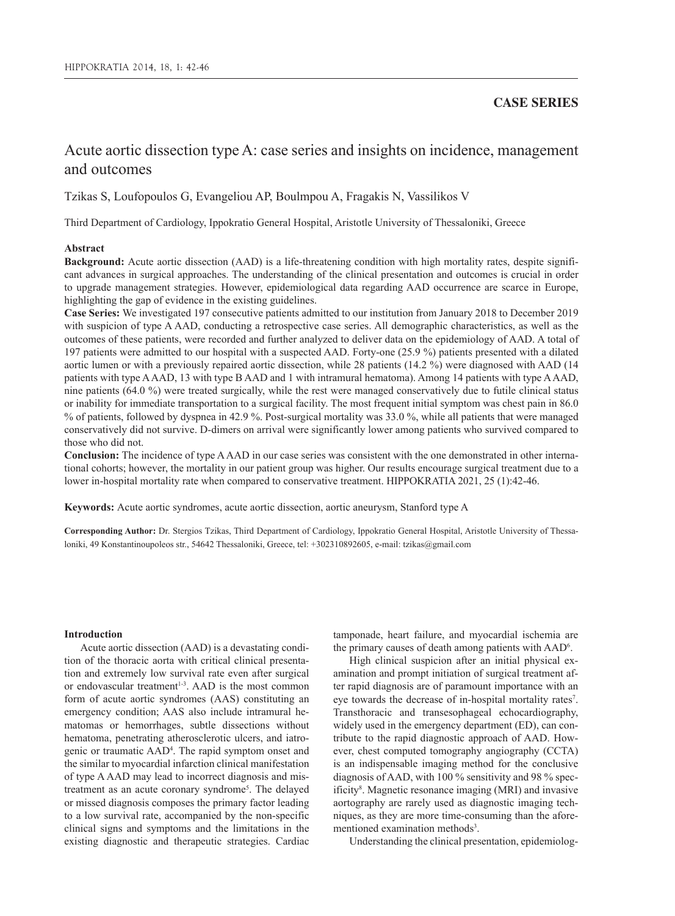# **CASE SERIES**

# Acute aortic dissection type A: case series and insights on incidence, management and outcomes

Tzikas S, Loufopoulos G, Evangeliou AP, Boulmpou A, Fragakis N, Vassilikos V

Third Department of Cardiology, Ippokratio General Hospital, Aristotle University of Thessaloniki, Greece

# **Abstract**

**Background:** Acute aortic dissection (AAD) is a life-threatening condition with high mortality rates, despite significant advances in surgical approaches. The understanding of the clinical presentation and outcomes is crucial in order to upgrade management strategies. However, epidemiological data regarding AAD occurrence are scarce in Europe, highlighting the gap of evidence in the existing guidelines.

**Case Series:** We investigated 197 consecutive patients admitted to our institution from January 2018 to December 2019 with suspicion of type A AAD, conducting a retrospective case series. All demographic characteristics, as well as the outcomes of these patients, were recorded and further analyzed to deliver data on the epidemiology of AAD. A total of 197 patients were admitted to our hospital with a suspected AAD. Forty-one (25.9 %) patients presented with a dilated aortic lumen or with a previously repaired aortic dissection, while 28 patients (14.2 %) were diagnosed with AAD (14 patients with type A AAD, 13 with type B AAD and 1 with intramural hematoma). Among 14 patients with type A AAD, nine patients (64.0 %) were treated surgically, while the rest were managed conservatively due to futile clinical status or inability for immediate transportation to a surgical facility. The most frequent initial symptom was chest pain in 86.0 % of patients, followed by dyspnea in 42.9 %. Post-surgical mortality was 33.0 %, while all patients that were managed conservatively did not survive. D-dimers on arrival were significantly lower among patients who survived compared to those who did not.

**Conclusion:** The incidence of type A AAD in our case series was consistent with the one demonstrated in other international cohorts; however, the mortality in our patient group was higher. Our results encourage surgical treatment due to a lower in-hospital mortality rate when compared to conservative treatment. HIPPOKRATIA 2021, 25 (1):42-46.

**Keywords:** Acute aortic syndromes, acute aortic dissection, aortic aneurysm, Stanford type A

**Corresponding Author:** Dr. Stergios Tzikas, Third Department of Cardiology, Ippokratio General Hospital, Aristotle University of Thessaloniki, 49 Konstantinoupoleos str., 54642 Thessaloniki, Greece, tel: +302310892605, e-mail: tzikas@gmail.com

### **Introduction**

Acute aortic dissection (AAD) is a devastating condition of the thoracic aorta with critical clinical presentation and extremely low survival rate even after surgical or endovascular treatment<sup>1-3</sup>. AAD is the most common form of acute aortic syndromes (AAS) constituting an emergency condition; AAS also include intramural hematomas or hemorrhages, subtle dissections without hematoma, penetrating atherosclerotic ulcers, and iatrogenic or traumatic AAD4 . The rapid symptom onset and the similar to myocardial infarction clinical manifestation of type A AAD may lead to incorrect diagnosis and mistreatment as an acute coronary syndrome<sup>5</sup>. The delayed or missed diagnosis composes the primary factor leading to a low survival rate, accompanied by the non-specific clinical signs and symptoms and the limitations in the existing diagnostic and therapeutic strategies. Cardiac

tamponade, heart failure, and myocardial ischemia are the primary causes of death among patients with AAD6 .

High clinical suspicion after an initial physical examination and prompt initiation of surgical treatment after rapid diagnosis are of paramount importance with an eye towards the decrease of in-hospital mortality rates<sup>7</sup>. Transthoracic and transesophageal echocardiography, widely used in the emergency department (ED), can contribute to the rapid diagnostic approach of AAD. However, chest computed tomography angiography (CCTA) is an indispensable imaging method for the conclusive diagnosis of AAD, with 100 % sensitivity and 98 % specificity<sup>8</sup>. Magnetic resonance imaging (MRI) and invasive aortography are rarely used as diagnostic imaging techniques, as they are more time-consuming than the aforementioned examination methods<sup>3</sup>.

Understanding the clinical presentation, epidemiolog-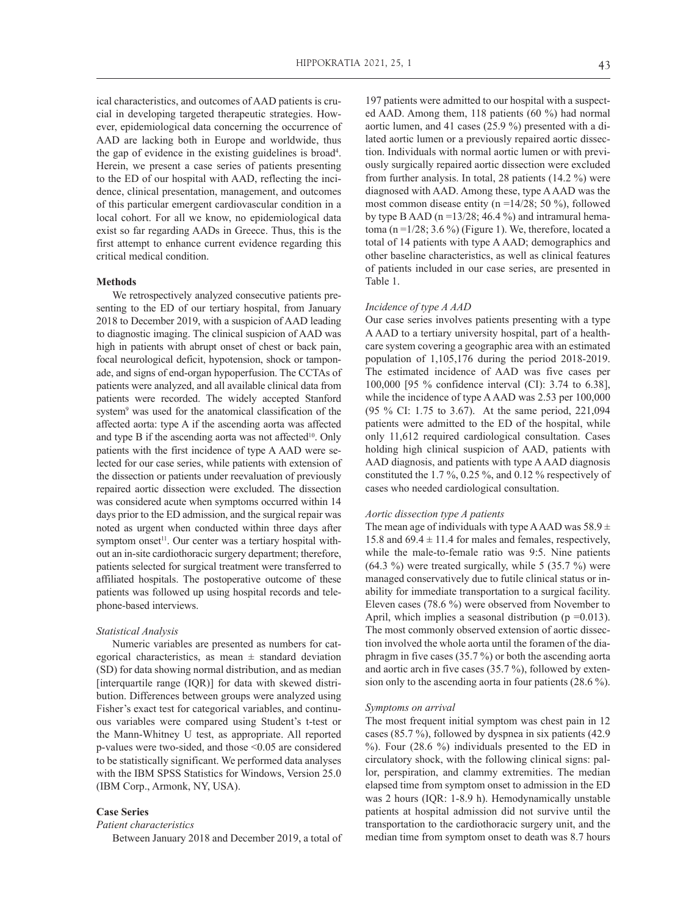ical characteristics, and outcomes of AAD patients is crucial in developing targeted therapeutic strategies. However, epidemiological data concerning the occurrence of AAD are lacking both in Europe and worldwide, thus the gap of evidence in the existing guidelines is broad<sup>4</sup>. Herein, we present a case series of patients presenting to the ED of our hospital with AAD, reflecting the incidence, clinical presentation, management, and outcomes of this particular emergent cardiovascular condition in a local cohort. For all we know, no epidemiological data exist so far regarding AADs in Greece. Thus, this is the first attempt to enhance current evidence regarding this critical medical condition.

# **Methods**

We retrospectively analyzed consecutive patients presenting to the ED of our tertiary hospital, from January 2018 to December 2019, with a suspicion of AAD leading to diagnostic imaging. The clinical suspicion of AAD was high in patients with abrupt onset of chest or back pain, focal neurological deficit, hypotension, shock or tamponade, and signs of end-organ hypoperfusion. The CCTAs of patients were analyzed, and all available clinical data from patients were recorded. The widely accepted Stanford system9 was used for the anatomical classification of the affected aorta: type A if the ascending aorta was affected and type B if the ascending aorta was not affected<sup>10</sup>. Only patients with the first incidence of type A AAD were selected for our case series, while patients with extension of the dissection or patients under reevaluation of previously repaired aortic dissection were excluded. The dissection was considered acute when symptoms occurred within 14 days prior to the ED admission, and the surgical repair was noted as urgent when conducted within three days after symptom onset<sup>11</sup>. Our center was a tertiary hospital without an in-site cardiothoracic surgery department; therefore, patients selected for surgical treatment were transferred to affiliated hospitals. The postoperative outcome of these patients was followed up using hospital records and telephone-based interviews.

#### *Statistical Analysis*

Numeric variables are presented as numbers for categorical characteristics, as mean  $\pm$  standard deviation (SD) for data showing normal distribution, and as median [interquartile range (IQR)] for data with skewed distribution. Differences between groups were analyzed using Fisher's exact test for categorical variables, and continuous variables were compared using Student's t-test or the Mann-Whitney U test, as appropriate. All reported p-values were two-sided, and those <0.05 are considered to be statistically significant. We performed data analyses with the IBM SPSS Statistics for Windows, Version 25.0 (IBM Corp., Armonk, NY, USA).

# **Case Series**

*Patient characteristics*

Between January 2018 and December 2019, a total of

197 patients were admitted to our hospital with a suspected AAD. Among them, 118 patients (60 %) had normal aortic lumen, and 41 cases (25.9 %) presented with a dilated aortic lumen or a previously repaired aortic dissection. Individuals with normal aortic lumen or with previously surgically repaired aortic dissection were excluded from further analysis. In total, 28 patients (14.2 %) were diagnosed with AAD. Among these, type A AAD was the most common disease entity (n =14/28; 50 %), followed by type B AAD ( $n = 13/28$ ; 46.4%) and intramural hematoma (n =  $1/28$ ; 3.6 %) (Figure 1). We, therefore, located a total of 14 patients with type A AAD; demographics and other baseline characteristics, as well as clinical features of patients included in our case series, are presented in Table 1.

#### *Incidence of type A AAD*

Our case series involves patients presenting with a type A AAD to a tertiary university hospital, part of a healthcare system covering a geographic area with an estimated population of 1,105,176 during the period 2018-2019. The estimated incidence of AAD was five cases per 100,000 [95 % confidence interval (CI): 3.74 to 6.38], while the incidence of type A AAD was 2.53 per 100,000 (95 % CI: 1.75 to 3.67). At the same period, 221,094 patients were admitted to the ED of the hospital, while only 11,612 required cardiological consultation. Cases holding high clinical suspicion of AAD, patients with AAD diagnosis, and patients with type A AAD diagnosis constituted the 1.7 %, 0.25 %, and 0.12 % respectively of cases who needed cardiological consultation.

# *Aortic dissection type A patients*

The mean age of individuals with type A AAD was  $58.9 \pm$ 15.8 and  $69.4 \pm 11.4$  for males and females, respectively, while the male-to-female ratio was 9:5. Nine patients  $(64.3 \%)$  were treated surgically, while 5  $(35.7 \%)$  were managed conservatively due to futile clinical status or inability for immediate transportation to a surgical facility. Eleven cases (78.6 %) were observed from November to April, which implies a seasonal distribution ( $p = 0.013$ ). The most commonly observed extension of aortic dissection involved the whole aorta until the foramen of the diaphragm in five cases (35.7 %) or both the ascending aorta and aortic arch in five cases (35.7 %), followed by extension only to the ascending aorta in four patients (28.6 %).

#### *Symptoms on arrival*

The most frequent initial symptom was chest pain in 12 cases (85.7 %), followed by dyspnea in six patients (42.9 %). Four (28.6 %) individuals presented to the ED in circulatory shock, with the following clinical signs: pallor, perspiration, and clammy extremities. The median elapsed time from symptom onset to admission in the ED was 2 hours (IQR: 1-8.9 h). Hemodynamically unstable patients at hospital admission did not survive until the transportation to the cardiothoracic surgery unit, and the median time from symptom onset to death was 8.7 hours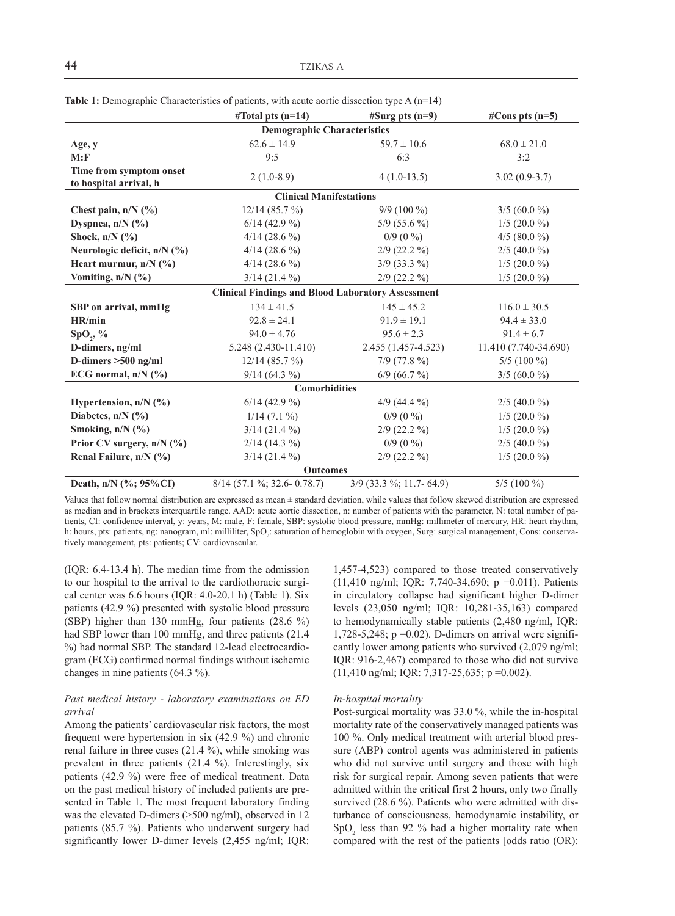|                                                   | #Total pts $(n=14)$                                      | $#Surgpts(n=9)$         | #Cons pts $(n=5)$     |
|---------------------------------------------------|----------------------------------------------------------|-------------------------|-----------------------|
|                                                   | <b>Demographic Characteristics</b>                       |                         |                       |
| Age, y                                            | $62.6 \pm 14.9$                                          | $59.7 \pm 10.6$         | $68.0 \pm 21.0$       |
| M: F                                              | 9:5                                                      | 6:3                     | 3:2                   |
| Time from symptom onset<br>to hospital arrival, h | $2(1.0-8.9)$                                             | $4(1.0-13.5)$           | $3.02(0.9-3.7)$       |
|                                                   | <b>Clinical Manifestations</b>                           |                         |                       |
| Chest pain, $n/N$ (%)                             | 12/14(85.7%)                                             | $9/9(100\%)$            | $3/5(60.0\%)$         |
| Dyspnea, $n/N$ (%)                                | $6/14$ (42.9 %)                                          | $5/9$ (55.6 %)          | $1/5$ (20.0 %)        |
| Shock, $n/N$ (%)                                  | $4/14(28.6\%)$                                           | $0/9(0\%)$              | $4/5$ (80.0 %)        |
| Neurologic deficit, $n/N$ (%)                     | $4/14(28.6\%)$                                           | $2/9$ (22.2 %)          | $2/5$ (40.0 %)        |
| Heart murmur, $n/N$ (%)                           | $4/14(28.6\%)$                                           | $3/9$ (33.3 %)          | $1/5$ (20.0 %)        |
| Vomiting, n/N (%)                                 | $3/14$ (21.4 %)                                          | $2/9$ (22.2 %)          | $1/5$ (20.0 %)        |
|                                                   | <b>Clinical Findings and Blood Laboratory Assessment</b> |                         |                       |
| SBP on arrival, mmHg                              | $134 \pm 41.5$                                           | $145 \pm 45.2$          | $116.0 \pm 30.5$      |
| HR/min                                            | $92.8 \pm 24.1$                                          | $91.9 \pm 19.1$         | $94.4 \pm 33.0$       |
| $SpO_{2}$ , %                                     | $94.0 \pm 4.76$                                          | $95.6 \pm 2.3$          | $91.4 \pm 6.7$        |
| D-dimers, ng/ml                                   | $5.248(2.430-11.410)$                                    | 2.455 (1.457-4.523)     | 11.410 (7.740-34.690) |
| D-dimers $>500$ ng/ml                             | 12/14(85.7%)                                             | $7/9$ (77.8 %)          | $5/5(100\%)$          |
| ECG normal, $n/N$ (%)                             | $9/14(64.3\%)$                                           | $6/9$ (66.7 %)          | $3/5(60.0\%)$         |
|                                                   | <b>Comorbidities</b>                                     |                         |                       |
| Hypertension, $n/N$ (%)                           | $6/14$ (42.9 %)                                          | $4/9$ (44.4 %)          | $2/5$ (40.0 %)        |
| Diabetes, $n/N$ (%)                               | $1/14$ (7.1 %)                                           | $0/9(0\%)$              | $1/5$ (20.0 %)        |
| Smoking, $n/N$ (%)                                | $3/14$ (21.4 %)                                          | $2/9$ (22.2 %)          | $1/5$ (20.0 %)        |
| Prior CV surgery, n/N (%)                         | $2/14(14.3\%)$                                           | $0/9(0\%)$              | $2/5$ (40.0 %)        |
| Renal Failure, n/N (%)                            | $3/14$ (21.4 %)                                          | $2/9$ (22.2 %)          | $1/5$ (20.0 %)        |
|                                                   | <b>Outcomes</b>                                          |                         |                       |
| Death, n/N (%; 95%CI)                             | $8/14$ (57.1 %; 32.6-0.78.7)                             | 3/9 (33.3 %; 11.7-64.9) | $5/5(100\%)$          |

**Table 1:** Demographic Characteristics of patients, with acute aortic dissection type A (n=14)

Values that follow normal distribution are expressed as mean ± standard deviation, while values that follow skewed distribution are expressed as median and in brackets interquartile range. AAD: acute aortic dissection, n: number of patients with the parameter, N: total number of patients, CI: confidence interval, y: years, M: male, F: female, SBP: systolic blood pressure, mmHg: millimeter of mercury, HR: heart rhythm, h: hours, pts: patients, ng: nanogram, ml: milliliter, SpO<sub>2</sub>: saturation of hemoglobin with oxygen, Surg: surgical management, Cons: conservatively management, pts: patients; CV: cardiovascular.

(IQR: 6.4-13.4 h). The median time from the admission to our hospital to the arrival to the cardiothoracic surgical center was 6.6 hours (IQR: 4.0-20.1 h) (Table 1). Six patients (42.9 %) presented with systolic blood pressure (SBP) higher than 130 mmHg, four patients (28.6 %) had SBP lower than 100 mmHg, and three patients (21.4 %) had normal SBP. The standard 12-lead electrocardiogram (ECG) confirmed normal findings without ischemic changes in nine patients (64.3 %).

# *Past medical history - laboratory examinations on ED arrival*

Among the patients' cardiovascular risk factors, the most frequent were hypertension in six (42.9 %) and chronic renal failure in three cases (21.4 %), while smoking was prevalent in three patients (21.4 %). Interestingly, six patients (42.9 %) were free of medical treatment. Data on the past medical history of included patients are presented in Table 1. The most frequent laboratory finding was the elevated D-dimers (>500 ng/ml), observed in 12 patients (85.7 %). Patients who underwent surgery had significantly lower D-dimer levels (2,455 ng/ml; IQR: 1,457-4,523) compared to those treated conservatively (11,410 ng/ml; IQR: 7,740-34,690; p =0.011). Patients in circulatory collapse had significant higher D-dimer levels (23,050 ng/ml; IQR: 10,281-35,163) compared to hemodynamically stable patients (2,480 ng/ml, IQR: 1,728-5,248;  $p = 0.02$ ). D-dimers on arrival were significantly lower among patients who survived (2,079 ng/ml; IQR: 916-2,467) compared to those who did not survive (11,410 ng/ml; IQR: 7,317-25,635; p =0.002).

### *In-hospital mortality*

Post-surgical mortality was 33.0 %, while the in-hospital mortality rate of the conservatively managed patients was 100 %. Only medical treatment with arterial blood pressure (ABP) control agents was administered in patients who did not survive until surgery and those with high risk for surgical repair. Among seven patients that were admitted within the critical first 2 hours, only two finally survived (28.6 %). Patients who were admitted with disturbance of consciousness, hemodynamic instability, or  $SpO<sub>2</sub>$  less than 92 % had a higher mortality rate when compared with the rest of the patients [odds ratio (OR):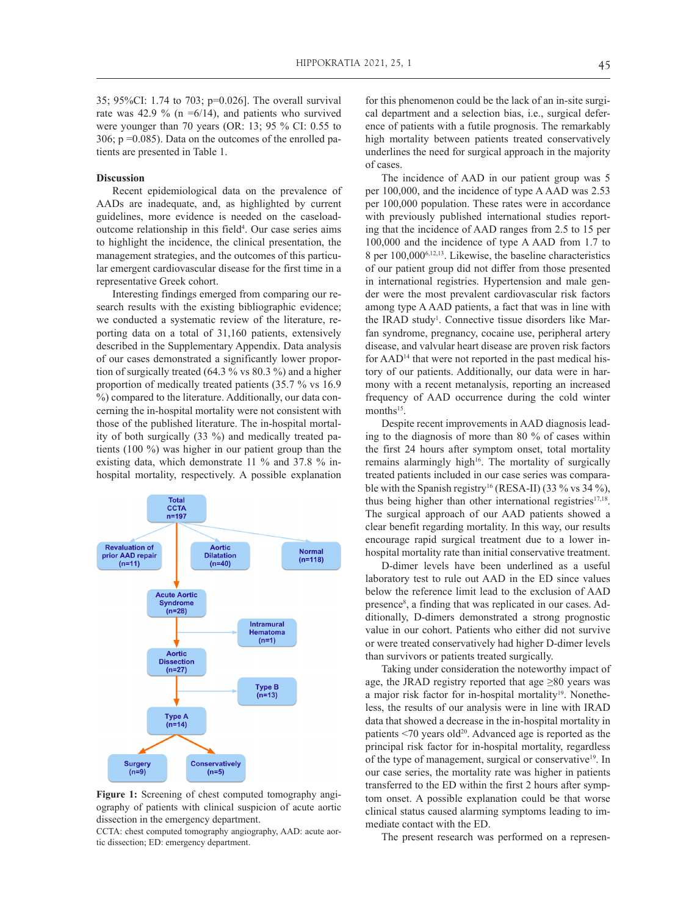35; 95%CI: 1.74 to 703; p=0.026]. The overall survival rate was 42.9 % (n = $6/14$ ), and patients who survived were younger than 70 years (OR: 13; 95 % CI: 0.55 to 306;  $p = 0.085$ ). Data on the outcomes of the enrolled patients are presented in Table 1.

## **Discussion**

Recent epidemiological data on the prevalence of AADs are inadequate, and, as highlighted by current guidelines, more evidence is needed on the caseloadoutcome relationship in this field<sup>4</sup>. Our case series aims to highlight the incidence, the clinical presentation, the management strategies, and the outcomes of this particular emergent cardiovascular disease for the first time in a representative Greek cohort.

Interesting findings emerged from comparing our research results with the existing bibliographic evidence; we conducted a systematic review of the literature, reporting data on a total of 31,160 patients, extensively described in the Supplementary Appendix. Data analysis of our cases demonstrated a significantly lower proportion of surgically treated (64.3 % vs 80.3 %) and a higher proportion of medically treated patients (35.7 % vs 16.9 %) compared to the literature. Additionally, our data concerning the in-hospital mortality were not consistent with those of the published literature. The in-hospital mortality of both surgically (33 %) and medically treated patients (100 %) was higher in our patient group than the existing data, which demonstrate 11 % and 37.8 % inhospital mortality, respectively. A possible explanation



**Figure 1:** Screening of chest computed tomography angiography of patients with clinical suspicion of acute aortic dissection in the emergency department.

CCTA: chest computed tomography angiography, AAD: acute aortic dissection; ED: emergency department.

for this phenomenon could be the lack of an in-site surgical department and a selection bias, i.e., surgical deference of patients with a futile prognosis. The remarkably high mortality between patients treated conservatively underlines the need for surgical approach in the majority of cases.

The incidence of AAD in our patient group was 5 per 100,000, and the incidence of type A AAD was 2.53 per 100,000 population. These rates were in accordance with previously published international studies reporting that the incidence of AAD ranges from 2.5 to 15 per 100,000 and the incidence of type A AAD from 1.7 to 8 per 100,0006,12,13. Likewise, the baseline characteristics of our patient group did not differ from those presented in international registries. Hypertension and male gender were the most prevalent cardiovascular risk factors among type A AAD patients, a fact that was in line with the IRAD study<sup>1</sup>. Connective tissue disorders like Marfan syndrome, pregnancy, cocaine use, peripheral artery disease, and valvular heart disease are proven risk factors for AAD<sup>14</sup> that were not reported in the past medical history of our patients. Additionally, our data were in harmony with a recent metanalysis, reporting an increased frequency of AAD occurrence during the cold winter months<sup>15</sup>.

Despite recent improvements in AAD diagnosis leading to the diagnosis of more than 80 % of cases within the first 24 hours after symptom onset, total mortality remains alarmingly high<sup>16</sup>. The mortality of surgically treated patients included in our case series was comparable with the Spanish registry<sup>16</sup> (RESA-II) (33 % vs 34 %), thus being higher than other international registries $17,18$ . The surgical approach of our AAD patients showed a clear benefit regarding mortality. In this way, our results encourage rapid surgical treatment due to a lower inhospital mortality rate than initial conservative treatment.

D-dimer levels have been underlined as a useful laboratory test to rule out AAD in the ED since values below the reference limit lead to the exclusion of AAD presence<sup>8</sup>, a finding that was replicated in our cases. Additionally, D-dimers demonstrated a strong prognostic value in our cohort. Patients who either did not survive or were treated conservatively had higher D-dimer levels than survivors or patients treated surgically.

Taking under consideration the noteworthy impact of age, the JRAD registry reported that age  $\geq 80$  years was a major risk factor for in-hospital mortality<sup>19</sup>. Nonetheless, the results of our analysis were in line with IRAD data that showed a decrease in the in-hospital mortality in patients  $\leq 70$  years old<sup>20</sup>. Advanced age is reported as the principal risk factor for in-hospital mortality, regardless of the type of management, surgical or conservative<sup>19</sup>. In our case series, the mortality rate was higher in patients transferred to the ED within the first 2 hours after symptom onset. A possible explanation could be that worse clinical status caused alarming symptoms leading to immediate contact with the ED.

The present research was performed on a represen-